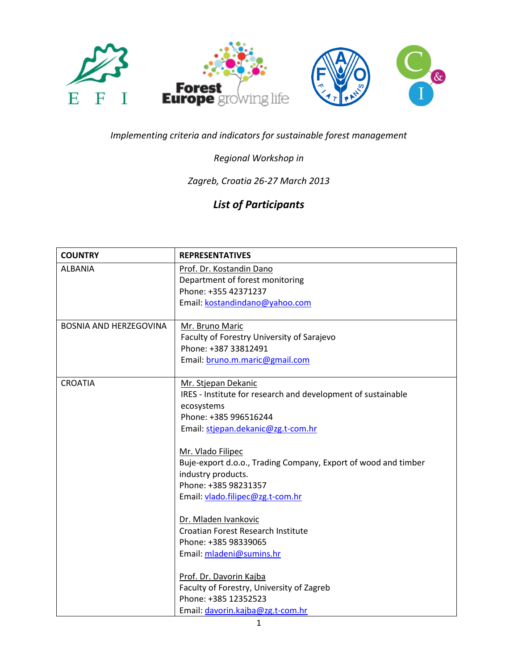

## *Implementing criteria and indicators for sustainable forest management*

## *Regional Workshop in*

## *Zagreb, Croatia 26-27 March 2013*

## *List of Participants*

| <b>COUNTRY</b>                | <b>REPRESENTATIVES</b>                                                                                                                                                                                                                                                                                                                                                                                                                                                                                                                                                                          |
|-------------------------------|-------------------------------------------------------------------------------------------------------------------------------------------------------------------------------------------------------------------------------------------------------------------------------------------------------------------------------------------------------------------------------------------------------------------------------------------------------------------------------------------------------------------------------------------------------------------------------------------------|
| <b>ALBANIA</b>                | Prof. Dr. Kostandin Dano<br>Department of forest monitoring<br>Phone: +355 42371237<br>Email: kostandindano@yahoo.com                                                                                                                                                                                                                                                                                                                                                                                                                                                                           |
| <b>BOSNIA AND HERZEGOVINA</b> | Mr. Bruno Maric<br>Faculty of Forestry University of Sarajevo<br>Phone: +387 33812491<br>Email: bruno.m.maric@gmail.com                                                                                                                                                                                                                                                                                                                                                                                                                                                                         |
| <b>CROATIA</b>                | Mr. Stjepan Dekanic<br>IRES - Institute for research and development of sustainable<br>ecosystems<br>Phone: +385 996516244<br>Email: stjepan.dekanic@zg.t-com.hr<br>Mr. Vlado Filipec<br>Buje-export d.o.o., Trading Company, Export of wood and timber<br>industry products.<br>Phone: +385 98231357<br>Email: vlado.filipec@zg.t-com.hr<br>Dr. Mladen Ivankovic<br>Croatian Forest Research Institute<br>Phone: +385 98339065<br>Email: mladeni@sumins.hr<br>Prof. Dr. Davorin Kajba<br>Faculty of Forestry, University of Zagreb<br>Phone: +385 12352523<br>Email: davorin.kajba@zg.t-com.hr |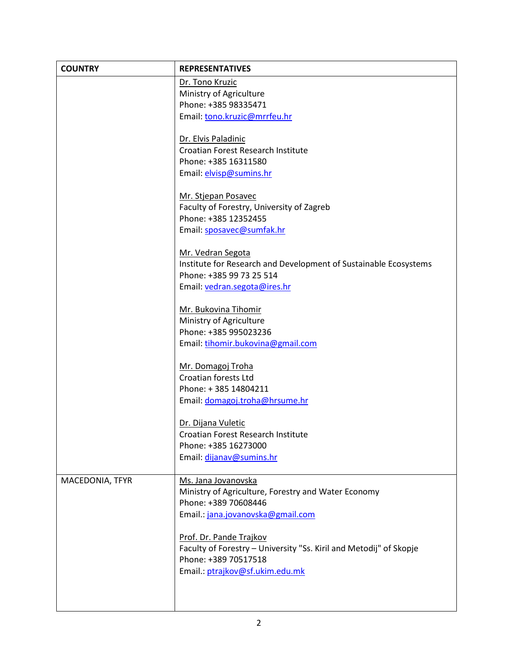| <b>COUNTRY</b>  | <b>REPRESENTATIVES</b>                                             |
|-----------------|--------------------------------------------------------------------|
|                 | Dr. Tono Kruzic                                                    |
|                 | Ministry of Agriculture                                            |
|                 | Phone: +385 98335471                                               |
|                 | Email: tono.kruzic@mrrfeu.hr                                       |
|                 | Dr. Elvis Paladinic                                                |
|                 | Croatian Forest Research Institute                                 |
|                 | Phone: +385 16311580                                               |
|                 | Email: elvisp@sumins.hr                                            |
|                 | Mr. Stjepan Posavec                                                |
|                 | Faculty of Forestry, University of Zagreb                          |
|                 | Phone: +385 12352455                                               |
|                 | Email: sposavec@sumfak.hr                                          |
|                 | Mr. Vedran Segota                                                  |
|                 | Institute for Research and Development of Sustainable Ecosystems   |
|                 | Phone: +385 99 73 25 514                                           |
|                 | Email: vedran.segota@ires.hr                                       |
|                 |                                                                    |
|                 | Mr. Bukovina Tihomir                                               |
|                 | Ministry of Agriculture                                            |
|                 | Phone: +385 995023236                                              |
|                 | Email: tihomir.bukovina@gmail.com                                  |
|                 | Mr. Domagoj Troha                                                  |
|                 | Croatian forests Ltd                                               |
|                 | Phone: +385 14804211                                               |
|                 | Email: domagoj.troha@hrsume.hr                                     |
|                 | Dr. Dijana Vuletic                                                 |
|                 | Croatian Forest Research Institute                                 |
|                 | Phone: +385 16273000                                               |
|                 | Email: dijanav@sumins.hr                                           |
| MACEDONIA, TFYR | Ms. Jana Jovanovska                                                |
|                 | Ministry of Agriculture, Forestry and Water Economy                |
|                 | Phone: +389 70608446                                               |
|                 | Email.: jana.jovanovska@gmail.com                                  |
|                 | Prof. Dr. Pande Trajkov                                            |
|                 | Faculty of Forestry - University "Ss. Kiril and Metodij" of Skopje |
|                 | Phone: +389 70517518                                               |
|                 | Email.: ptrajkov@sf.ukim.edu.mk                                    |
|                 |                                                                    |
|                 |                                                                    |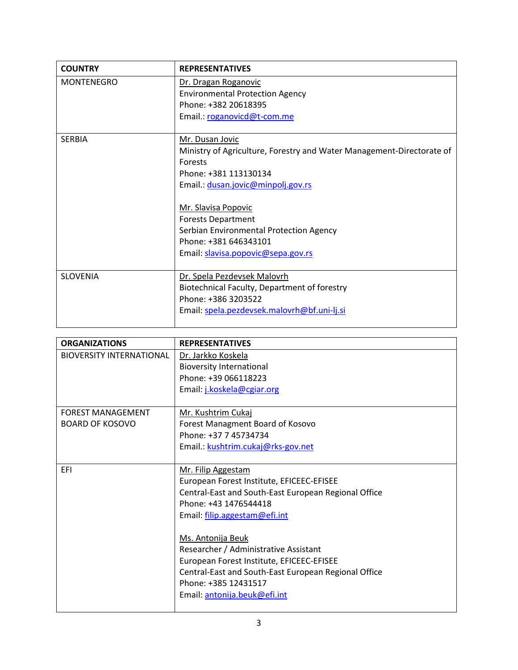| <b>COUNTRY</b>    | <b>REPRESENTATIVES</b>                                                |
|-------------------|-----------------------------------------------------------------------|
| <b>MONTENEGRO</b> | Dr. Dragan Roganovic                                                  |
|                   | <b>Environmental Protection Agency</b>                                |
|                   | Phone: +382 20618395                                                  |
|                   | Email.: roganovicd@t-com.me                                           |
|                   |                                                                       |
| <b>SFRBIA</b>     | Mr. Dusan Jovic                                                       |
|                   | Ministry of Agriculture, Forestry and Water Management-Directorate of |
|                   | <b>Forests</b>                                                        |
|                   | Phone: +381 113130134                                                 |
|                   | Email: dusan.jovic@minpolj.gov.rs                                     |
|                   |                                                                       |
|                   | Mr. Slavisa Popovic                                                   |
|                   | <b>Forests Department</b>                                             |
|                   | Serbian Environmental Protection Agency                               |
|                   | Phone: +381 646343101                                                 |
|                   | Email: slavisa.popovic@sepa.gov.rs                                    |
|                   |                                                                       |
| <b>SLOVENIA</b>   | Dr. Spela Pezdevsek Malovrh                                           |
|                   | Biotechnical Faculty, Department of forestry                          |
|                   | Phone: +386 3203522                                                   |
|                   | Email: spela.pezdevsek.malovrh@bf.uni-lj.si                           |
|                   |                                                                       |

| <b>ORGANIZATIONS</b>            | <b>REPRESENTATIVES</b>                               |
|---------------------------------|------------------------------------------------------|
| <b>BIOVERSITY INTERNATIONAL</b> | Dr. Jarkko Koskela                                   |
|                                 | <b>Bioversity International</b>                      |
|                                 | Phone: +39 066118223                                 |
|                                 | Email: j.koskela@cgiar.org                           |
|                                 |                                                      |
| <b>FOREST MANAGEMENT</b>        | Mr. Kushtrim Cukaj                                   |
| <b>BOARD OF KOSOVO</b>          | Forest Managment Board of Kosovo                     |
|                                 | Phone: +37 7 45734734                                |
|                                 | Email.: kushtrim.cukaj@rks-gov.net                   |
|                                 |                                                      |
| EFI                             | Mr. Filip Aggestam                                   |
|                                 | European Forest Institute, EFICEEC-EFISEE            |
|                                 | Central-East and South-East European Regional Office |
|                                 | Phone: +43 1476544418                                |
|                                 | Email: filip.aggestam@efi.int                        |
|                                 |                                                      |
|                                 | Ms. Antonija Beuk                                    |
|                                 | Researcher / Administrative Assistant                |
|                                 | European Forest Institute, EFICEEC-EFISEE            |
|                                 | Central-East and South-East European Regional Office |
|                                 | Phone: +385 12431517                                 |
|                                 | Email: antonija.beuk@efi.int                         |
|                                 |                                                      |